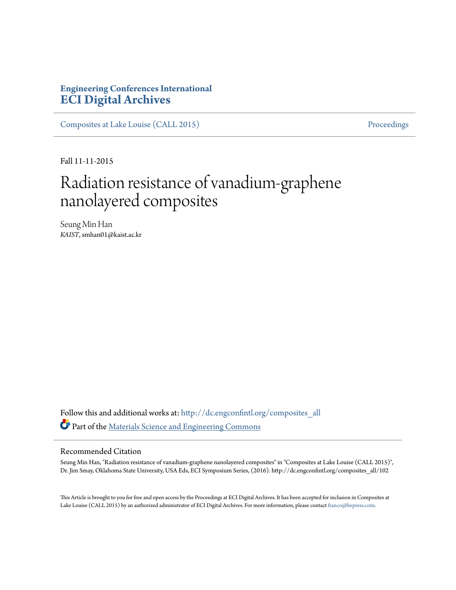## **Engineering Conferences International [ECI Digital Archives](http://dc.engconfintl.org?utm_source=dc.engconfintl.org%2Fcomposites_all%2F102&utm_medium=PDF&utm_campaign=PDFCoverPages)**

[Composites at Lake Louise \(CALL 2015\)](http://dc.engconfintl.org/composites_all?utm_source=dc.engconfintl.org%2Fcomposites_all%2F102&utm_medium=PDF&utm_campaign=PDFCoverPages) [Proceedings](http://dc.engconfintl.org/proceedings?utm_source=dc.engconfintl.org%2Fcomposites_all%2F102&utm_medium=PDF&utm_campaign=PDFCoverPages)

Fall 11-11-2015

# Radiation resistance of vanadium-graphene nanolayered composites

Seung Min Han *KAIST*, smhan01@kaist.ac.kr

Follow this and additional works at: [http://dc.engconfintl.org/composites\\_all](http://dc.engconfintl.org/composites_all?utm_source=dc.engconfintl.org%2Fcomposites_all%2F102&utm_medium=PDF&utm_campaign=PDFCoverPages) Part of the [Materials Science and Engineering Commons](http://network.bepress.com/hgg/discipline/285?utm_source=dc.engconfintl.org%2Fcomposites_all%2F102&utm_medium=PDF&utm_campaign=PDFCoverPages)

#### Recommended Citation

Seung Min Han, "Radiation resistance of vanadium-graphene nanolayered composites" in "Composites at Lake Louise (CALL 2015)", Dr. Jim Smay, Oklahoma State University, USA Eds, ECI Symposium Series, (2016). http://dc.engconfintl.org/composites\_all/102

This Article is brought to you for free and open access by the Proceedings at ECI Digital Archives. It has been accepted for inclusion in Composites at Lake Louise (CALL 2015) by an authorized administrator of ECI Digital Archives. For more information, please contact [franco@bepress.com](mailto:franco@bepress.com).